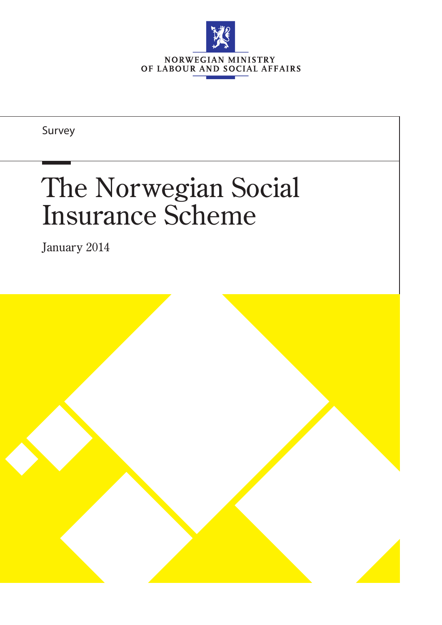

Survey

# The Norwegian Social Insurance Scheme

January 2014

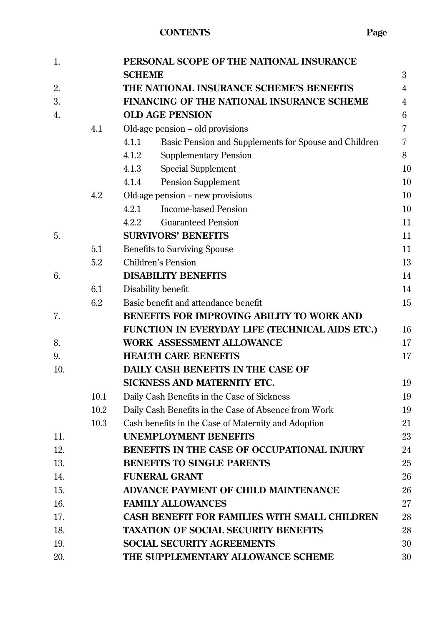| 1.  |      | PERSONAL SCOPE OF THE NATIONAL INSURANCE                       |    |
|-----|------|----------------------------------------------------------------|----|
|     |      | <b>SCHEME</b>                                                  | 3  |
| 2.  |      | THE NATIONAL INSURANCE SCHEME'S BENEFITS                       | 4  |
| 3.  |      | FINANCING OF THE NATIONAL INSURANCE SCHEME                     |    |
| 4.  |      | <b>OLD AGE PENSION</b>                                         | 6  |
|     | 4.1  | Old-age pension – old provisions                               | 7  |
|     |      | 4.1.1<br>Basic Pension and Supplements for Spouse and Children | 7  |
|     |      | 4.1.2<br><b>Supplementary Pension</b>                          | 8  |
|     |      | 4.1.3<br><b>Special Supplement</b>                             | 10 |
|     |      | 4.1.4<br><b>Pension Supplement</b>                             | 10 |
|     | 4.2  | Old-age pension – new provisions                               | 10 |
|     |      | <b>Income-based Pension</b><br>4.2.1                           | 10 |
|     |      | <b>Guaranteed Pension</b><br>4.2.2                             | 11 |
| 5.  |      | <b>SURVIVORS' BENEFITS</b>                                     | 11 |
|     | 5.1  | <b>Benefits to Surviving Spouse</b>                            | 11 |
|     | 5.2  | <b>Children's Pension</b>                                      | 13 |
| 6.  |      | <b>DISABILITY BENEFITS</b>                                     | 14 |
|     | 6.1  | Disability benefit                                             | 14 |
|     | 6.2  | Basic benefit and attendance benefit                           | 15 |
| 7.  |      | BENEFITS FOR IMPROVING ABILITY TO WORK AND                     |    |
|     |      | FUNCTION IN EVERYDAY LIFE (TECHNICAL AIDS ETC.)                | 16 |
| 8.  |      | <b>WORK ASSESSMENT ALLOWANCE</b>                               | 17 |
| 9.  |      | <b>HEALTH CARE BENEFITS</b>                                    | 17 |
| 10. |      | DAILY CASH BENEFITS IN THE CASE OF                             |    |
|     |      | SICKNESS AND MATERNITY ETC.                                    | 19 |
|     | 10.1 | Daily Cash Benefits in the Case of Sickness                    | 19 |
|     | 10.2 | Daily Cash Benefits in the Case of Absence from Work           | 19 |
|     | 10.3 | Cash benefits in the Case of Maternity and Adoption            | 21 |
| 11. |      | <b>UNEMPLOYMENT BENEFITS</b>                                   | 23 |
| 12. |      | BENEFITS IN THE CASE OF OCCUPATIONAL INJURY                    | 24 |
| 13. |      | <b>BENEFITS TO SINGLE PARENTS</b>                              | 25 |
| 14. |      | <b>FUNERAL GRANT</b>                                           | 26 |
| 15. |      | <b>ADVANCE PAYMENT OF CHILD MAINTENANCE</b>                    | 26 |
| 16. |      | <b>FAMILY ALLOWANCES</b>                                       | 27 |
| 17. |      | <b>CASH BENEFIT FOR FAMILIES WITH SMALL CHILDREN</b>           | 28 |
| 18. |      | <b>TAXATION OF SOCIAL SECURITY BENEFITS</b>                    | 28 |
| 19. |      | <b>SOCIAL SECURITY AGREEMENTS</b>                              | 30 |
| 20. |      | THE SUPPLEMENTARY ALLOWANCE SCHEME                             | 30 |
|     |      |                                                                |    |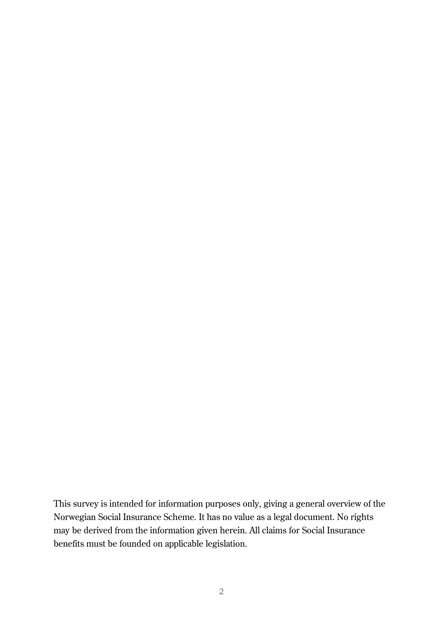This survey is intended for information purposes only, giving a general overview of the Norwegian Social Insurance Scheme. It has no value as a legal document. No rights may be derived from the information given herein. All claims for Social Insurance benefits must be founded on applicable legislation.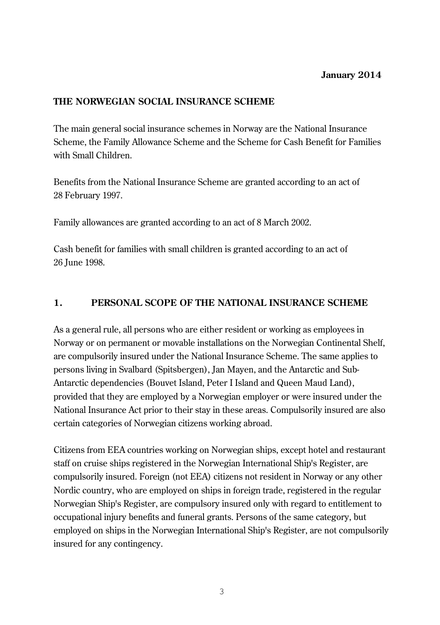# **THE NORWEGIAN SOCIAL INSURANCE SCHEME**

The main general social insurance schemes in Norway are the National Insurance Scheme, the Family Allowance Scheme and the Scheme for Cash Benefit for Families with Small Children.

Benefits from the National Insurance Scheme are granted according to an act of 28 February 1997.

Family allowances are granted according to an act of 8 March 2002.

Cash benefit for families with small children is granted according to an act of 26 June 1998.

# **1. PERSONAL SCOPE OF THE NATIONAL INSURANCE SCHEME**

As a general rule, all persons who are either resident or working as employees in Norway or on permanent or movable installations on the Norwegian Continental Shelf, are compulsorily insured under the National Insurance Scheme. The same applies to persons living in Svalbard (Spitsbergen), Jan Mayen, and the [Antarctic](http://en.wikipedia.org/wiki/Antarctica) and [Sub-](http://en.wikipedia.org/wiki/Subantarctic)[Antarctic](http://en.wikipedia.org/wiki/Subantarctic) [dependencies](http://en.wikipedia.org/wiki/Dependent_territory) [\(Bouvet Island,](http://en.wikipedia.org/wiki/Bouvet_Island) [Peter I Island](http://en.wikipedia.org/wiki/Peter_I_Island) and [Queen Maud Land\)](http://en.wikipedia.org/wiki/Queen_Maud_Land), provided that they are employed by a Norwegian employer or were insured under the National Insurance Act prior to their stay in these areas. Compulsorily insured are also certain categories of Norwegian citizens working abroad.

Citizens from EEA countries working on Norwegian ships, except hotel and restaurant staff on cruise ships registered in the Norwegian International Ship's Register, are compulsorily insured. Foreign (not EEA) citizens not resident in Norway or any other Nordic country, who are employed on ships in foreign trade, registered in the regular Norwegian Ship's Register, are compulsory insured only with regard to entitlement to occupational injury benefits and funeral grants. Persons of the same category, but employed on ships in the Norwegian International Ship's Register, are not compulsorily insured for any contingency.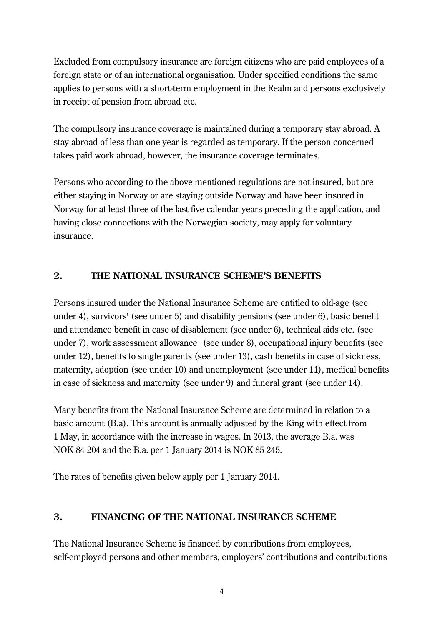Excluded from compulsory insurance are foreign citizens who are paid employees of a foreign state or of an international organisation. Under specified conditions the same applies to persons with a short-term employment in the Realm and persons exclusively in receipt of pension from abroad etc.

The compulsory insurance coverage is maintained during a temporary stay abroad. A stay abroad of less than one year is regarded as temporary. If the person concerned takes paid work abroad, however, the insurance coverage terminates.

Persons who according to the above mentioned regulations are not insured, but are either staying in Norway or are staying outside Norway and have been insured in Norway for at least three of the last five calendar years preceding the application, and having close connections with the Norwegian society, may apply for voluntary insurance.

# **2. THE NATIONAL INSURANCE SCHEME'S BENEFITS**

Persons insured under the National Insurance Scheme are entitled to old-age (see under 4), survivors' (see under 5) and disability pensions (see under 6), basic benefit and attendance benefit in case of disablement (see under 6), technical aids etc. (see under 7), work assessment allowance (see under 8), occupational injury benefits (see under 12), benefits to single parents (see under 13), cash benefits in case of sickness, maternity, adoption (see under 10) and unemployment (see under 11), medical benefits in case of sickness and maternity (see under 9) and funeral grant (see under 14).

Many benefits from the National Insurance Scheme are determined in relation to a basic amount (B.a). This amount is annually adjusted by the King with effect from 1 May, in accordance with the increase in wages. In 2013, the average B.a. was NOK 84 204 and the B.a. per 1 January 2014 is NOK 85 245.

The rates of benefits given below apply per 1 January 2014.

# **3. FINANCING OF THE NATIONAL INSURANCE SCHEME**

The National Insurance Scheme is financed by contributions from employees, self-employed persons and other members, employers' contributions and contributions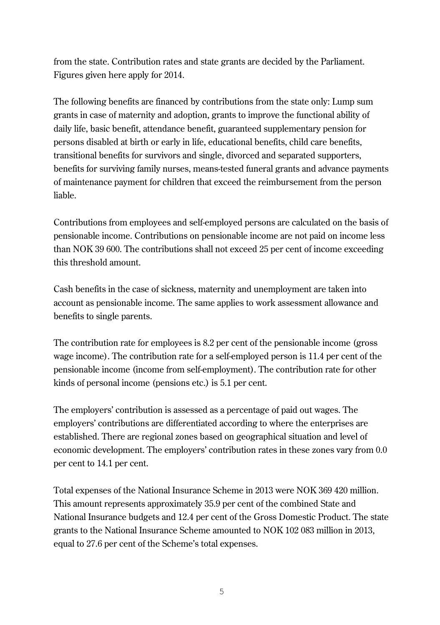from the state. Contribution rates and state grants are decided by the Parliament. Figures given here apply for 2014.

The following benefits are financed by contributions from the state only: Lump sum grants in case of maternity and adoption, grants to improve the functional ability of daily life, basic benefit, attendance benefit, guaranteed supplementary pension for persons disabled at birth or early in life, educational benefits, child care benefits, transitional benefits for survivors and single, divorced and separated supporters, benefits for surviving family nurses, means-tested funeral grants and advance payments of maintenance payment for children that exceed the reimbursement from the person liable.

Contributions from employees and self-employed persons are calculated on the basis of pensionable income. Contributions on pensionable income are not paid on income less than NOK 39 600. The contributions shall not exceed 25 per cent of income exceeding this threshold amount.

Cash benefits in the case of sickness, maternity and unemployment are taken into account as pensionable income. The same applies to work assessment allowance and benefits to single parents.

The contribution rate for employees is 8.2 per cent of the pensionable income (gross wage income). The contribution rate for a self-employed person is 11.4 per cent of the pensionable income (income from self-employment). The contribution rate for other kinds of personal income (pensions etc.) is 5.1 per cent.

The employers' contribution is assessed as a percentage of paid out wages. The employers' contributions are differentiated according to where the enterprises are established. There are regional zones based on geographical situation and level of economic development. The employers' contribution rates in these zones vary from 0.0 per cent to 14.1 per cent.

Total expenses of the National Insurance Scheme in 2013 were NOK 369 420 million. This amount represents approximately 35.9 per cent of the combined State and National Insurance budgets and 12.4 per cent of the Gross Domestic Product. The state grants to the National Insurance Scheme amounted to NOK 102 083 million in 2013, equal to 27.6 per cent of the Scheme's total expenses.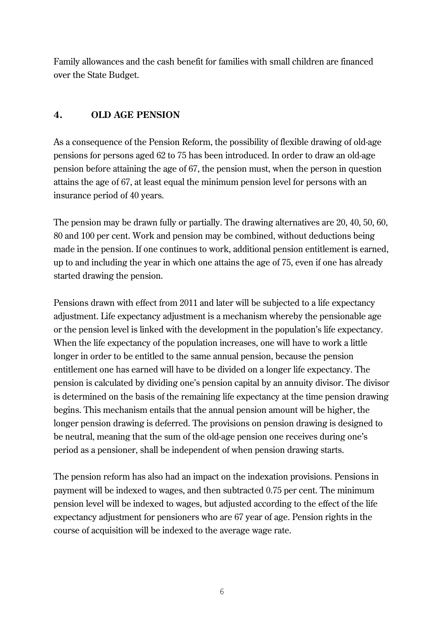Family allowances and the cash benefit for families with small children are financed over the State Budget.

# **4. OLD AGE PENSION**

As a consequence of the Pension Reform, the possibility of flexible drawing of old-age pensions for persons aged 62 to 75 has been introduced. In order to draw an old-age pension before attaining the age of 67, the pension must, when the person in question attains the age of 67, at least equal the minimum pension level for persons with an insurance period of 40 years.

The pension may be drawn fully or partially. The drawing alternatives are 20, 40, 50, 60, 80 and 100 per cent. Work and pension may be combined, without deductions being made in the pension. If one continues to work, additional pension entitlement is earned, up to and including the year in which one attains the age of 75, even if one has already started drawing the pension.

Pensions drawn with effect from 2011 and later will be subjected to a life expectancy adjustment. Life expectancy adjustment is a mechanism whereby the pensionable age or the pension level is linked with the development in the population's life expectancy. When the life expectancy of the population increases, one will have to work a little longer in order to be entitled to the same annual pension, because the pension entitlement one has earned will have to be divided on a longer life expectancy. The pension is calculated by dividing one's pension capital by an annuity divisor. The divisor is determined on the basis of the remaining life expectancy at the time pension drawing begins. This mechanism entails that the annual pension amount will be higher, the longer pension drawing is deferred. The provisions on pension drawing is designed to be neutral, meaning that the sum of the old-age pension one receives during one's period as a pensioner, shall be independent of when pension drawing starts.

The pension reform has also had an impact on the indexation provisions. Pensions in payment will be indexed to wages, and then subtracted 0.75 per cent. The minimum pension level will be indexed to wages, but adjusted according to the effect of the life expectancy adjustment for pensioners who are 67 year of age. Pension rights in the course of acquisition will be indexed to the average wage rate.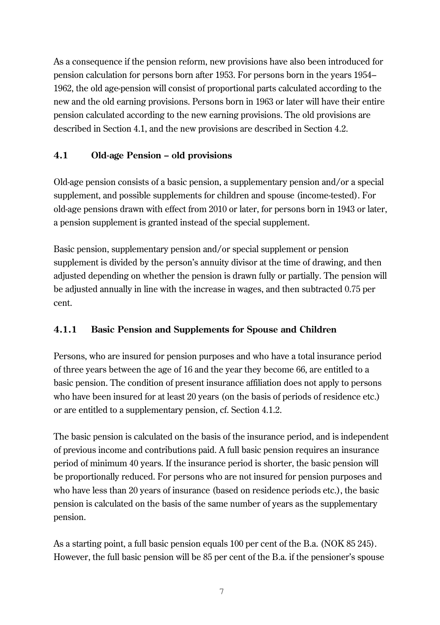As a consequence if the pension reform, new provisions have also been introduced for pension calculation for persons born after 1953. For persons born in the years 1954– 1962, the old age-pension will consist of proportional parts calculated according to the new and the old earning provisions. Persons born in 1963 or later will have their entire pension calculated according to the new earning provisions. The old provisions are described in Section 4.1, and the new provisions are described in Section 4.2.

# **4.1 Old-age Pension – old provisions**

Old-age pension consists of a basic pension, a supplementary pension and/or a special supplement, and possible supplements for children and spouse (income-tested). For old-age pensions drawn with effect from 2010 or later, for persons born in 1943 or later, a pension supplement is granted instead of the special supplement.

Basic pension, supplementary pension and/or special supplement or pension supplement is divided by the person's annuity divisor at the time of drawing, and then adjusted depending on whether the pension is drawn fully or partially. The pension will be adjusted annually in line with the increase in wages, and then subtracted 0.75 per cent.

# **4.1.1 Basic Pension and Supplements for Spouse and Children**

Persons, who are insured for pension purposes and who have a total insurance period of three years between the age of 16 and the year they become 66, are entitled to a basic pension. The condition of present insurance affiliation does not apply to persons who have been insured for at least 20 years (on the basis of periods of residence etc.) or are entitled to a supplementary pension, cf. Section 4.1.2.

The basic pension is calculated on the basis of the insurance period, and is independent of previous income and contributions paid. A full basic pension requires an insurance period of minimum 40 years. If the insurance period is shorter, the basic pension will be proportionally reduced. For persons who are not insured for pension purposes and who have less than 20 years of insurance (based on residence periods etc.), the basic pension is calculated on the basis of the same number of years as the supplementary pension.

As a starting point, a full basic pension equals 100 per cent of the B.a. (NOK 85 245). However, the full basic pension will be 85 per cent of the B.a. if the pensioner's spouse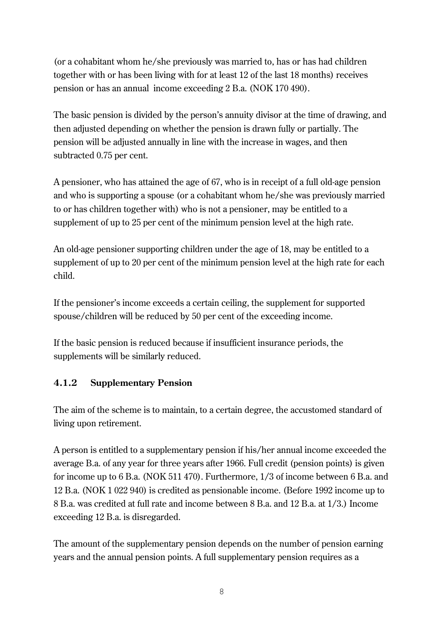(or a cohabitant whom he/she previously was married to, has or has had children together with or has been living with for at least 12 of the last 18 months) receives pension or has an annual income exceeding 2 B.a. (NOK 170 490).

The basic pension is divided by the person's annuity divisor at the time of drawing, and then adjusted depending on whether the pension is drawn fully or partially. The pension will be adjusted annually in line with the increase in wages, and then subtracted 0.75 per cent.

A pensioner, who has attained the age of 67, who is in receipt of a full old-age pension and who is supporting a spouse (or a cohabitant whom he/she was previously married to or has children together with) who is not a pensioner, may be entitled to a supplement of up to 25 per cent of the minimum pension level at the high rate.

An old-age pensioner supporting children under the age of 18, may be entitled to a supplement of up to 20 per cent of the minimum pension level at the high rate for each child.

If the pensioner's income exceeds a certain ceiling, the supplement for supported spouse/children will be reduced by 50 per cent of the exceeding income.

If the basic pension is reduced because if insufficient insurance periods, the supplements will be similarly reduced.

# **4.1.2 Supplementary Pension**

The aim of the scheme is to maintain, to a certain degree, the accustomed standard of living upon retirement.

A person is entitled to a supplementary pension if his/her annual income exceeded the average B.a. of any year for three years after 1966. Full credit (pension points) is given for income up to 6 B.a. (NOK 511 470). Furthermore, 1/3 of income between 6 B.a. and 12 B.a. (NOK 1 022 940) is credited as pensionable income. (Before 1992 income up to 8 B.a. was credited at full rate and income between 8 B.a. and 12 B.a. at 1/3.) Income exceeding 12 B.a. is disregarded.

The amount of the supplementary pension depends on the number of pension earning years and the annual pension points. A full supplementary pension requires as a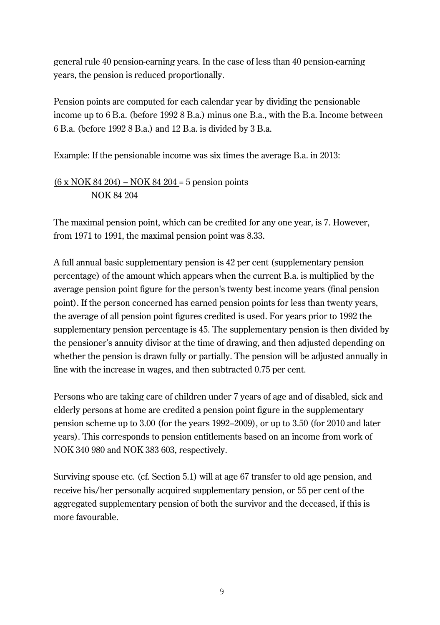general rule 40 pension-earning years. In the case of less than 40 pension-earning years, the pension is reduced proportionally.

Pension points are computed for each calendar year by dividing the pensionable income up to 6 B.a. (before 1992 8 B.a.) minus one B.a., with the B.a. Income between 6 B.a. (before 1992 8 B.a.) and 12 B.a. is divided by 3 B.a.

Example: If the pensionable income was six times the average B.a. in 2013:

 $(6 \times NOK 84 204) - NOK 84 204 = 5$  pension points NOK 84 204

The maximal pension point, which can be credited for any one year, is 7. However, from 1971 to 1991, the maximal pension point was 8.33.

A full annual basic supplementary pension is 42 per cent (supplementary pension percentage) of the amount which appears when the current B.a. is multiplied by the average pension point figure for the person's twenty best income years (final pension point). If the person concerned has earned pension points for less than twenty years, the average of all pension point figures credited is used. For years prior to 1992 the supplementary pension percentage is 45. The supplementary pension is then divided by the pensioner's annuity divisor at the time of drawing, and then adjusted depending on whether the pension is drawn fully or partially. The pension will be adjusted annually in line with the increase in wages, and then subtracted 0.75 per cent.

Persons who are taking care of children under 7 years of age and of disabled, sick and elderly persons at home are credited a pension point figure in the supplementary pension scheme up to 3.00 (for the years 1992–2009), or up to 3.50 (for 2010 and later years). This corresponds to pension entitlements based on an income from work of NOK 340 980 and NOK 383 603, respectively.

Surviving spouse etc. (cf. Section 5.1) will at age 67 transfer to old age pension, and receive his/her personally acquired supplementary pension, or 55 per cent of the aggregated supplementary pension of both the survivor and the deceased, if this is more favourable.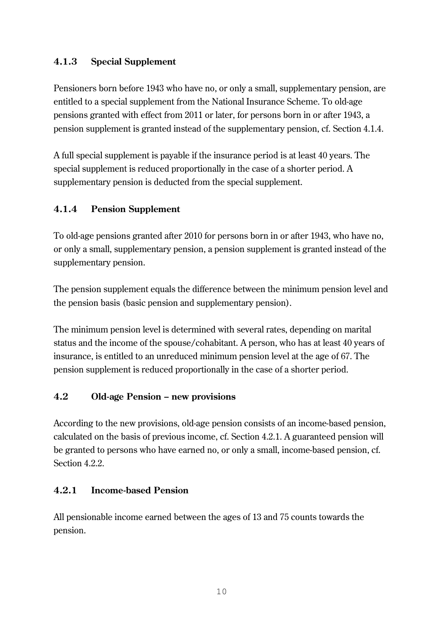# **4.1.3 Special Supplement**

Pensioners born before 1943 who have no, or only a small, supplementary pension, are entitled to a special supplement from the National Insurance Scheme. To old-age pensions granted with effect from 2011 or later, for persons born in or after 1943, a pension supplement is granted instead of the supplementary pension, cf. Section 4.1.4.

A full special supplement is payable if the insurance period is at least 40 years. The special supplement is reduced proportionally in the case of a shorter period. A supplementary pension is deducted from the special supplement.

# **4.1.4 Pension Supplement**

To old-age pensions granted after 2010 for persons born in or after 1943, who have no, or only a small, supplementary pension, a pension supplement is granted instead of the supplementary pension.

The pension supplement equals the difference between the minimum pension level and the pension basis (basic pension and supplementary pension).

The minimum pension level is determined with several rates, depending on marital status and the income of the spouse/cohabitant. A person, who has at least 40 years of insurance, is entitled to an unreduced minimum pension level at the age of 67. The pension supplement is reduced proportionally in the case of a shorter period.

# **4.2 Old-age Pension – new provisions**

According to the new provisions, old-age pension consists of an income-based pension, calculated on the basis of previous income, cf. Section 4.2.1. A guaranteed pension will be granted to persons who have earned no, or only a small, income-based pension, cf. Section 4.2.2.

# **4.2.1 Income-based Pension**

All pensionable income earned between the ages of 13 and 75 counts towards the pension.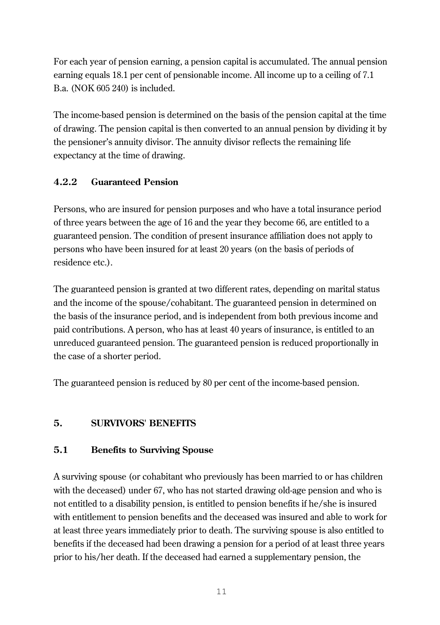For each year of pension earning, a pension capital is accumulated. The annual pension earning equals 18.1 per cent of pensionable income. All income up to a ceiling of 7.1 B.a. (NOK 605 240) is included.

The income-based pension is determined on the basis of the pension capital at the time of drawing. The pension capital is then converted to an annual pension by dividing it by the pensioner's annuity divisor. The annuity divisor reflects the remaining life expectancy at the time of drawing.

# **4.2.2 Guaranteed Pension**

Persons, who are insured for pension purposes and who have a total insurance period of three years between the age of 16 and the year they become 66, are entitled to a guaranteed pension. The condition of present insurance affiliation does not apply to persons who have been insured for at least 20 years (on the basis of periods of residence etc.).

The guaranteed pension is granted at two different rates, depending on marital status and the income of the spouse/cohabitant. The guaranteed pension in determined on the basis of the insurance period, and is independent from both previous income and paid contributions. A person, who has at least 40 years of insurance, is entitled to an unreduced guaranteed pension. The guaranteed pension is reduced proportionally in the case of a shorter period.

The guaranteed pension is reduced by 80 per cent of the income-based pension.

# **5. SURVIVORS' BENEFITS**

# **5.1 Benefits to Surviving Spouse**

A surviving spouse (or cohabitant who previously has been married to or has children with the deceased) under 67, who has not started drawing old-age pension and who is not entitled to a disability pension, is entitled to pension benefits if he/she is insured with entitlement to pension benefits and the deceased was insured and able to work for at least three years immediately prior to death. The surviving spouse is also entitled to benefits if the deceased had been drawing a pension for a period of at least three years prior to his/her death. If the deceased had earned a supplementary pension, the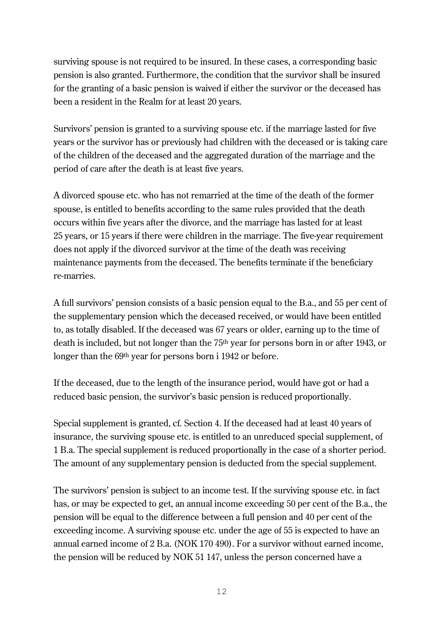surviving spouse is not required to be insured. In these cases, a corresponding basic pension is also granted. Furthermore, the condition that the survivor shall be insured for the granting of a basic pension is waived if either the survivor or the deceased has been a resident in the Realm for at least 20 years.

Survivors' pension is granted to a surviving spouse etc. if the marriage lasted for five years or the survivor has or previously had children with the deceased or is taking care of the children of the deceased and the aggregated duration of the marriage and the period of care after the death is at least five years.

A divorced spouse etc. who has not remarried at the time of the death of the former spouse, is entitled to benefits according to the same rules provided that the death occurs within five years after the divorce, and the marriage has lasted for at least 25 years, or 15 years if there were children in the marriage. The five-year requirement does not apply if the divorced survivor at the time of the death was receiving maintenance payments from the deceased. The benefits terminate if the beneficiary re-marries.

A full survivors' pension consists of a basic pension equal to the B.a., and 55 per cent of the supplementary pension which the deceased received, or would have been entitled to, as totally disabled. If the deceased was 67 years or older, earning up to the time of death is included, but not longer than the 75th year for persons born in or after 1943, or longer than the 69<sup>th</sup> year for persons born i 1942 or before.

If the deceased, due to the length of the insurance period, would have got or had a reduced basic pension, the survivor's basic pension is reduced proportionally.

Special supplement is granted, cf. Section 4. If the deceased had at least 40 years of insurance, the surviving spouse etc. is entitled to an unreduced special supplement, of 1 B.a. The special supplement is reduced proportionally in the case of a shorter period. The amount of any supplementary pension is deducted from the special supplement.

The survivors' pension is subject to an income test. If the surviving spouse etc. in fact has, or may be expected to get, an annual income exceeding 50 per cent of the B.a., the pension will be equal to the difference between a full pension and 40 per cent of the exceeding income. A surviving spouse etc. under the age of 55 is expected to have an annual earned income of 2 B.a. (NOK 170 490). For a survivor without earned income, the pension will be reduced by NOK 51 147, unless the person concerned have a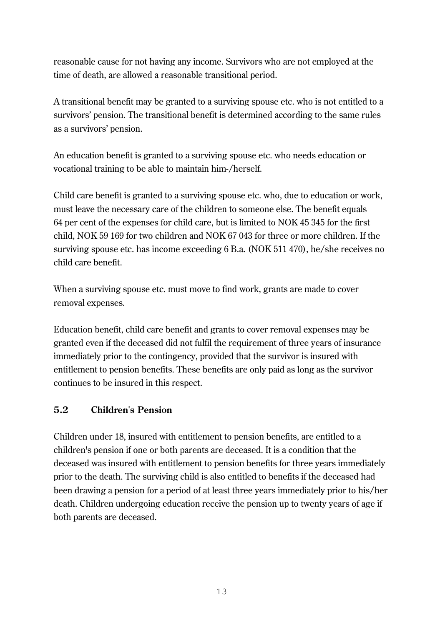reasonable cause for not having any income. Survivors who are not employed at the time of death, are allowed a reasonable transitional period.

A transitional benefit may be granted to a surviving spouse etc. who is not entitled to a survivors' pension. The transitional benefit is determined according to the same rules as a survivors' pension.

An education benefit is granted to a surviving spouse etc. who needs education or vocational training to be able to maintain him-/herself.

Child care benefit is granted to a surviving spouse etc. who, due to education or work, must leave the necessary care of the children to someone else. The benefit equals 64 per cent of the expenses for child care, but is limited to NOK 45 345 for the first child, NOK 59 169 for two children and NOK 67 043 for three or more children. If the surviving spouse etc. has income exceeding 6 B.a. (NOK 511 470), he/she receives no child care benefit.

When a surviving spouse etc. must move to find work, grants are made to cover removal expenses.

Education benefit, child care benefit and grants to cover removal expenses may be granted even if the deceased did not fulfil the requirement of three years of insurance immediately prior to the contingency, provided that the survivor is insured with entitlement to pension benefits. These benefits are only paid as long as the survivor continues to be insured in this respect.

# **5.2 Children's Pension**

Children under 18, insured with entitlement to pension benefits, are entitled to a children's pension if one or both parents are deceased. It is a condition that the deceased was insured with entitlement to pension benefits for three years immediately prior to the death. The surviving child is also entitled to benefits if the deceased had been drawing a pension for a period of at least three years immediately prior to his/her death. Children undergoing education receive the pension up to twenty years of age if both parents are deceased.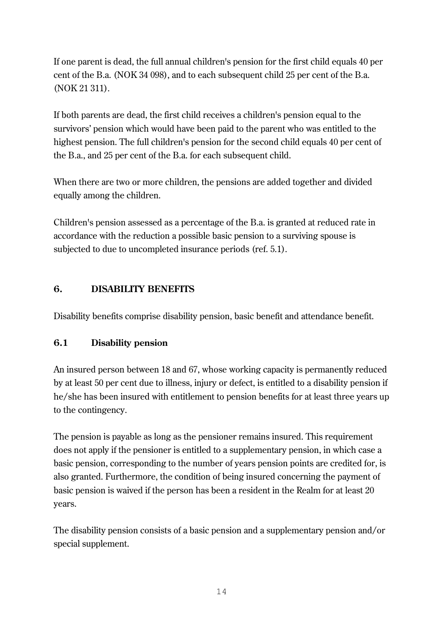If one parent is dead, the full annual children's pension for the first child equals 40 per cent of the B.a. (NOK 34 098), and to each subsequent child 25 per cent of the B.a. (NOK 21 311).

If both parents are dead, the first child receives a children's pension equal to the survivors' pension which would have been paid to the parent who was entitled to the highest pension. The full children's pension for the second child equals 40 per cent of the B.a., and 25 per cent of the B.a. for each subsequent child.

When there are two or more children, the pensions are added together and divided equally among the children.

Children's pension assessed as a percentage of the B.a. is granted at reduced rate in accordance with the reduction a possible basic pension to a surviving spouse is subjected to due to uncompleted insurance periods (ref. 5.1).

# **6. DISABILITY BENEFITS**

Disability benefits comprise disability pension, basic benefit and attendance benefit.

# **6.1 Disability pension**

An insured person between 18 and 67, whose working capacity is permanently reduced by at least 50 per cent due to illness, injury or defect, is entitled to a disability pension if he/she has been insured with entitlement to pension benefits for at least three years up to the contingency.

The pension is payable as long as the pensioner remains insured. This requirement does not apply if the pensioner is entitled to a supplementary pension, in which case a basic pension, corresponding to the number of years pension points are credited for, is also granted. Furthermore, the condition of being insured concerning the payment of basic pension is waived if the person has been a resident in the Realm for at least 20 years.

The disability pension consists of a basic pension and a supplementary pension and/or special supplement.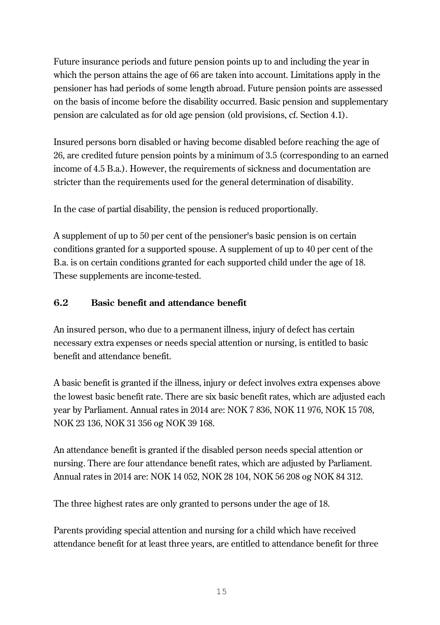Future insurance periods and future pension points up to and including the year in which the person attains the age of 66 are taken into account. Limitations apply in the pensioner has had periods of some length abroad. Future pension points are assessed on the basis of income before the disability occurred. Basic pension and supplementary pension are calculated as for old age pension (old provisions, cf. Section 4.1).

Insured persons born disabled or having become disabled before reaching the age of 26, are credited future pension points by a minimum of 3.5 (corresponding to an earned income of 4.5 B.a.). However, the requirements of sickness and documentation are stricter than the requirements used for the general determination of disability.

In the case of partial disability, the pension is reduced proportionally.

A supplement of up to 50 per cent of the pensioner's basic pension is on certain conditions granted for a supported spouse. A supplement of up to 40 per cent of the B.a. is on certain conditions granted for each supported child under the age of 18. These supplements are income-tested.

# **6.2 Basic benefit and attendance benefit**

An insured person, who due to a permanent illness, injury of defect has certain necessary extra expenses or needs special attention or nursing, is entitled to basic benefit and attendance benefit.

A basic benefit is granted if the illness, injury or defect involves extra expenses above the lowest basic benefit rate. There are six basic benefit rates, which are adjusted each year by Parliament. Annual rates in 2014 are: NOK 7 836, NOK 11 976, NOK 15 708, NOK 23 136, NOK 31 356 og NOK 39 168.

An attendance benefit is granted if the disabled person needs special attention or nursing. There are four attendance benefit rates, which are adjusted by Parliament. Annual rates in 2014 are: NOK 14 052, NOK 28 104, NOK 56 208 og NOK 84 312.

The three highest rates are only granted to persons under the age of 18.

Parents providing special attention and nursing for a child which have received attendance benefit for at least three years, are entitled to attendance benefit for three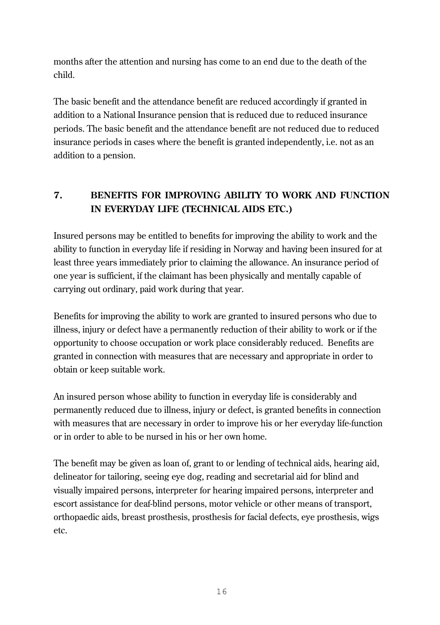months after the attention and nursing has come to an end due to the death of the child.

The basic benefit and the attendance benefit are reduced accordingly if granted in addition to a National Insurance pension that is reduced due to reduced insurance periods. The basic benefit and the attendance benefit are not reduced due to reduced insurance periods in cases where the benefit is granted independently, i.e. not as an addition to a pension.

# **7. BENEFITS FOR IMPROVING ABILITY TO WORK AND FUNCTION IN EVERYDAY LIFE (TECHNICAL AIDS ETC.)**

Insured persons may be entitled to benefits for improving the ability to work and the ability to function in everyday life if residing in Norway and having been insured for at least three years immediately prior to claiming the allowance. An insurance period of one year is sufficient, if the claimant has been physically and mentally capable of carrying out ordinary, paid work during that year.

Benefits for improving the ability to work are granted to insured persons who due to illness, injury or defect have a permanently reduction of their ability to work or if the opportunity to choose occupation or work place considerably reduced. Benefits are granted in connection with measures that are necessary and appropriate in order to obtain or keep suitable work.

An insured person whose ability to function in everyday life is considerably and permanently reduced due to illness, injury or defect, is granted benefits in connection with measures that are necessary in order to improve his or her everyday life-function or in order to able to be nursed in his or her own home.

The benefit may be given as loan of, grant to or lending of technical aids, hearing aid, delineator for tailoring, seeing eye dog, reading and secretarial aid for blind and visually impaired persons, interpreter for hearing impaired persons, interpreter and escort assistance for deaf-blind persons, motor vehicle or other means of transport, orthopaedic aids, breast prosthesis, prosthesis for facial defects, eye prosthesis, wigs etc.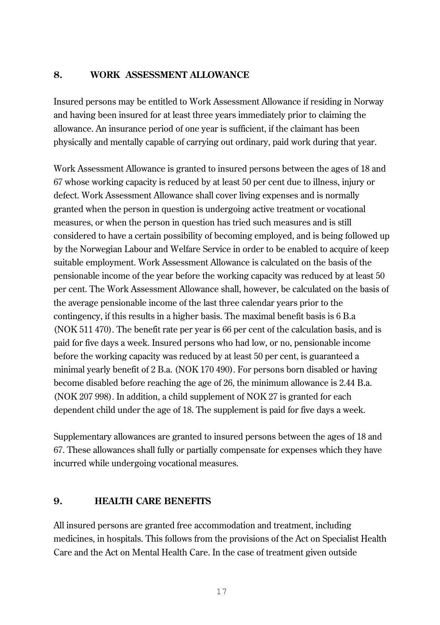#### **8. WORK ASSESSMENT ALLOWANCE**

Insured persons may be entitled to Work Assessment Allowance if residing in Norway and having been insured for at least three years immediately prior to claiming the allowance. An insurance period of one year is sufficient, if the claimant has been physically and mentally capable of carrying out ordinary, paid work during that year.

Work Assessment Allowance is granted to insured persons between the ages of 18 and 67 whose working capacity is reduced by at least 50 per cent due to illness, injury or defect. Work Assessment Allowance shall cover living expenses and is normally granted when the person in question is undergoing active treatment or vocational measures, or when the person in question has tried such measures and is still considered to have a certain possibility of becoming employed, and is being followed up by the Norwegian Labour and Welfare Service in order to be enabled to acquire of keep suitable employment. Work Assessment Allowance is calculated on the basis of the pensionable income of the year before the working capacity was reduced by at least 50 per cent. The Work Assessment Allowance shall, however, be calculated on the basis of the average pensionable income of the last three calendar years prior to the contingency, if this results in a higher basis. The maximal benefit basis is 6 B.a (NOK 511 470). The benefit rate per year is 66 per cent of the calculation basis, and is paid for five days a week. Insured persons who had low, or no, pensionable income before the working capacity was reduced by at least 50 per cent, is guaranteed a minimal yearly benefit of 2 B.a. (NOK 170 490). For persons born disabled or having become disabled before reaching the age of 26, the minimum allowance is 2.44 B.a. (NOK 207 998). In addition, a child supplement of NOK 27 is granted for each dependent child under the age of 18. The supplement is paid for five days a week.

Supplementary allowances are granted to insured persons between the ages of 18 and 67. These allowances shall fully or partially compensate for expenses which they have incurred while undergoing vocational measures.

#### **9. HEALTH CARE BENEFITS**

All insured persons are granted free accommodation and treatment, including medicines, in hospitals. This follows from the provisions of the Act on Specialist Health Care and the Act on Mental Health Care. In the case of treatment given outside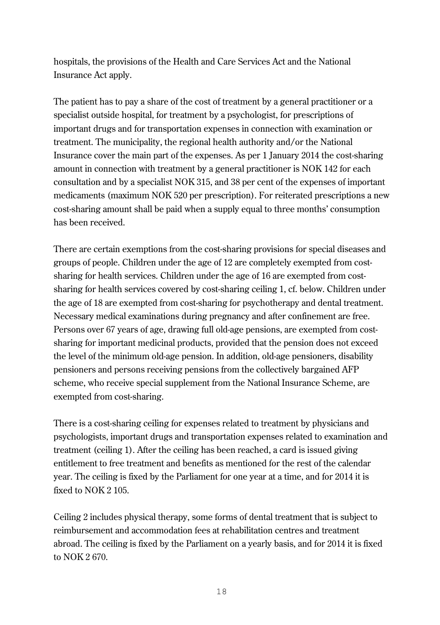hospitals, the provisions of the Health and Care Services Act and the National Insurance Act apply.

The patient has to pay a share of the cost of treatment by a general practitioner or a specialist outside hospital, for treatment by a psychologist, for prescriptions of important drugs and for transportation expenses in connection with examination or treatment. The municipality, the regional health authority and/or the National Insurance cover the main part of the expenses. As per 1 January 2014 the cost-sharing amount in connection with treatment by a general practitioner is NOK 142 for each consultation and by a specialist NOK 315, and 38 per cent of the expenses of important medicaments (maximum NOK 520 per prescription). For reiterated prescriptions a new cost-sharing amount shall be paid when a supply equal to three months' consumption has been received.

There are certain exemptions from the cost-sharing provisions for special diseases and groups of people. Children under the age of 12 are completely exempted from costsharing for health services. Children under the age of 16 are exempted from costsharing for health services covered by cost-sharing ceiling 1, cf. below. Children under the age of 18 are exempted from cost-sharing for psychotherapy and dental treatment. Necessary medical examinations during pregnancy and after confinement are free. Persons over 67 years of age, drawing full old-age pensions, are exempted from costsharing for important medicinal products, provided that the pension does not exceed the level of the minimum old-age pension. In addition, old-age pensioners, disability pensioners and persons receiving pensions from the collectively bargained AFP scheme, who receive special supplement from the National Insurance Scheme, are exempted from cost-sharing.

There is a cost-sharing ceiling for expenses related to treatment by physicians and psychologists, important drugs and transportation expenses related to examination and treatment (ceiling 1). After the ceiling has been reached, a card is issued giving entitlement to free treatment and benefits as mentioned for the rest of the calendar year. The ceiling is fixed by the Parliament for one year at a time, and for 2014 it is fixed to NOK 2 105.

Ceiling 2 includes physical therapy, some forms of dental treatment that is subject to reimbursement and accommodation fees at rehabilitation centres and treatment abroad. The ceiling is fixed by the Parliament on a yearly basis, and for 2014 it is fixed to NOK 2 670.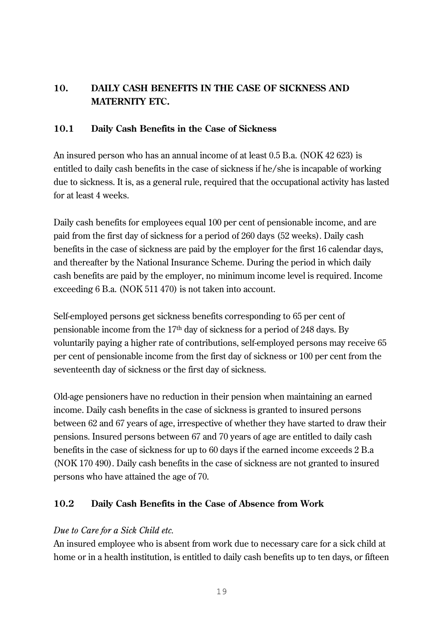# **10. DAILY CASH BENEFITS IN THE CASE OF SICKNESS AND MATERNITY ETC.**

#### **10.1 Daily Cash Benefits in the Case of Sickness**

An insured person who has an annual income of at least 0.5 B.a. (NOK 42 623) is entitled to daily cash benefits in the case of sickness if he/she is incapable of working due to sickness. It is, as a general rule, required that the occupational activity has lasted for at least 4 weeks.

Daily cash benefits for employees equal 100 per cent of pensionable income, and are paid from the first day of sickness for a period of 260 days (52 weeks). Daily cash benefits in the case of sickness are paid by the employer for the first 16 calendar days, and thereafter by the National Insurance Scheme. During the period in which daily cash benefits are paid by the employer, no minimum income level is required. Income exceeding 6 B.a. (NOK 511 470) is not taken into account.

Self-employed persons get sickness benefits corresponding to 65 per cent of pensionable income from the 17th day of sickness for a period of 248 days. By voluntarily paying a higher rate of contributions, self-employed persons may receive 65 per cent of pensionable income from the first day of sickness or 100 per cent from the seventeenth day of sickness or the first day of sickness.

Old-age pensioners have no reduction in their pension when maintaining an earned income. Daily cash benefits in the case of sickness is granted to insured persons between 62 and 67 years of age, irrespective of whether they have started to draw their pensions. Insured persons between 67 and 70 years of age are entitled to daily cash benefits in the case of sickness for up to 60 days if the earned income exceeds 2 B.a (NOK 170 490). Daily cash benefits in the case of sickness are not granted to insured persons who have attained the age of 70.

# **10.2 Daily Cash Benefits in the Case of Absence from Work**

# *Due to Care for a Sick Child etc.*

An insured employee who is absent from work due to necessary care for a sick child at home or in a health institution, is entitled to daily cash benefits up to ten days, or fifteen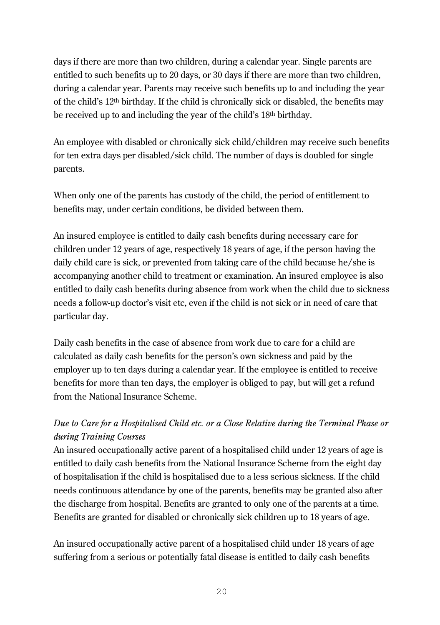days if there are more than two children, during a calendar year. Single parents are entitled to such benefits up to 20 days, or 30 days if there are more than two children, during a calendar year. Parents may receive such benefits up to and including the year of the child's 12th birthday. If the child is chronically sick or disabled, the benefits may be received up to and including the year of the child's 18th birthday.

An employee with disabled or chronically sick child/children may receive such benefits for ten extra days per disabled/sick child. The number of days is doubled for single parents.

When only one of the parents has custody of the child, the period of entitlement to benefits may, under certain conditions, be divided between them.

An insured employee is entitled to daily cash benefits during necessary care for children under 12 years of age, respectively 18 years of age, if the person having the daily child care is sick, or prevented from taking care of the child because he/she is accompanying another child to treatment or examination. An insured employee is also entitled to daily cash benefits during absence from work when the child due to sickness needs a follow-up doctor's visit etc, even if the child is not sick or in need of care that particular day.

Daily cash benefits in the case of absence from work due to care for a child are calculated as daily cash benefits for the person's own sickness and paid by the employer up to ten days during a calendar year. If the employee is entitled to receive benefits for more than ten days, the employer is obliged to pay, but will get a refund from the National Insurance Scheme.

# *Due to Care for a Hospitalised Child etc. or a Close Relative during the Terminal Phase or during Training Courses*

An insured occupationally active parent of a hospitalised child under 12 years of age is entitled to daily cash benefits from the National Insurance Scheme from the eight day of hospitalisation if the child is hospitalised due to a less serious sickness. If the child needs continuous attendance by one of the parents, benefits may be granted also after the discharge from hospital. Benefits are granted to only one of the parents at a time. Benefits are granted for disabled or chronically sick children up to 18 years of age.

An insured occupationally active parent of a hospitalised child under 18 years of age suffering from a serious or potentially fatal disease is entitled to daily cash benefits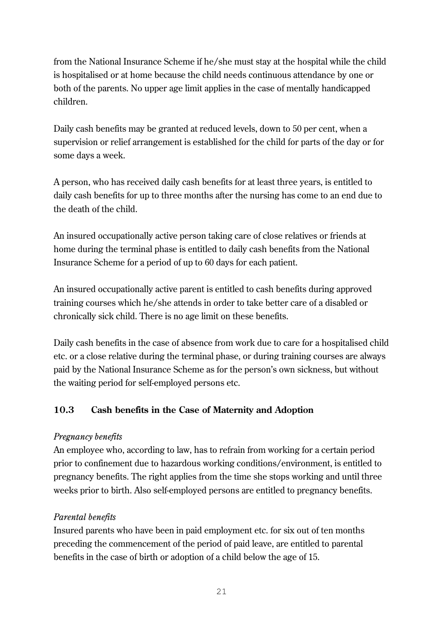from the National Insurance Scheme if he/she must stay at the hospital while the child is hospitalised or at home because the child needs continuous attendance by one or both of the parents. No upper age limit applies in the case of mentally handicapped children.

Daily cash benefits may be granted at reduced levels, down to 50 per cent, when a supervision or relief arrangement is established for the child for parts of the day or for some days a week.

A person, who has received daily cash benefits for at least three years, is entitled to daily cash benefits for up to three months after the nursing has come to an end due to the death of the child.

An insured occupationally active person taking care of close relatives or friends at home during the terminal phase is entitled to daily cash benefits from the National Insurance Scheme for a period of up to 60 days for each patient.

An insured occupationally active parent is entitled to cash benefits during approved training courses which he/she attends in order to take better care of a disabled or chronically sick child. There is no age limit on these benefits.

Daily cash benefits in the case of absence from work due to care for a hospitalised child etc. or a close relative during the terminal phase, or during training courses are always paid by the National Insurance Scheme as for the person's own sickness, but without the waiting period for self-employed persons etc.

# **10.3 Cash benefits in the Case of Maternity and Adoption**

#### *Pregnancy benefits*

An employee who, according to law, has to refrain from working for a certain period prior to confinement due to hazardous working conditions/environment, is entitled to pregnancy benefits. The right applies from the time she stops working and until three weeks prior to birth. Also self-employed persons are entitled to pregnancy benefits.

#### *Parental benefits*

Insured parents who have been in paid employment etc. for six out of ten months preceding the commencement of the period of paid leave, are entitled to parental benefits in the case of birth or adoption of a child below the age of 15.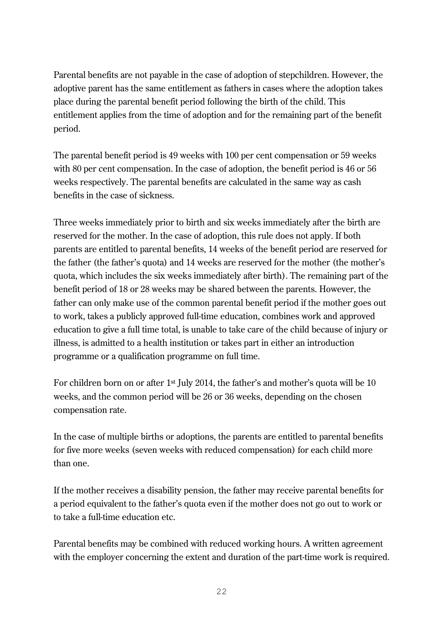Parental benefits are not payable in the case of adoption of stepchildren. However, the adoptive parent has the same entitlement as fathers in cases where the adoption takes place during the parental benefit period following the birth of the child. This entitlement applies from the time of adoption and for the remaining part of the benefit period.

The parental benefit period is 49 weeks with 100 per cent compensation or 59 weeks with 80 per cent compensation. In the case of adoption, the benefit period is 46 or 56 weeks respectively. The parental benefits are calculated in the same way as cash benefits in the case of sickness.

Three weeks immediately prior to birth and six weeks immediately after the birth are reserved for the mother. In the case of adoption, this rule does not apply. If both parents are entitled to parental benefits, 14 weeks of the benefit period are reserved for the father (the father's quota) and 14 weeks are reserved for the mother (the mother's quota, which includes the six weeks immediately after birth). The remaining part of the benefit period of 18 or 28 weeks may be shared between the parents. However, the father can only make use of the common parental benefit period if the mother goes out to work, takes a publicly approved full-time education, combines work and approved education to give a full time total, is unable to take care of the child because of injury or illness, is admitted to a health institution or takes part in either an introduction programme or a qualification programme on full time.

For children born on or after 1st July 2014, the father's and mother's quota will be 10 weeks, and the common period will be 26 or 36 weeks, depending on the chosen compensation rate.

In the case of multiple births or adoptions, the parents are entitled to parental benefits for five more weeks (seven weeks with reduced compensation) for each child more than one.

If the mother receives a disability pension, the father may receive parental benefits for a period equivalent to the father's quota even if the mother does not go out to work or to take a full-time education etc.

Parental benefits may be combined with reduced working hours. A written agreement with the employer concerning the extent and duration of the part-time work is required.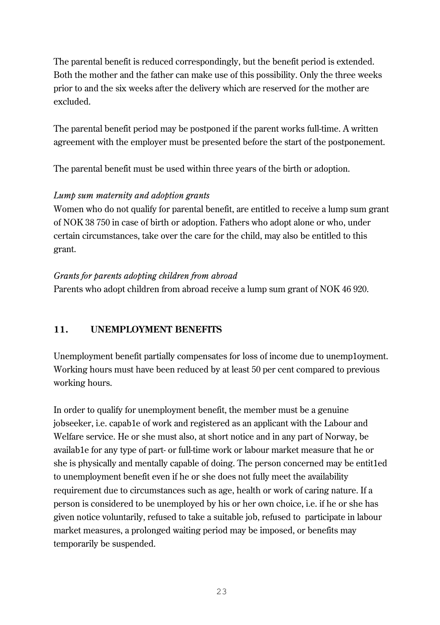The parental benefit is reduced correspondingly, but the benefit period is extended. Both the mother and the father can make use of this possibility. Only the three weeks prior to and the six weeks after the delivery which are reserved for the mother are excluded.

The parental benefit period may be postponed if the parent works full-time. A written agreement with the employer must be presented before the start of the postponement.

The parental benefit must be used within three years of the birth or adoption.

# *Lump sum maternity and adoption grants*

Women who do not qualify for parental benefit, are entitled to receive a lump sum grant of NOK 38 750 in case of birth or adoption. Fathers who adopt alone or who, under certain circumstances, take over the care for the child, may also be entitled to this grant.

# *Grants for parents adopting children from abroad*

Parents who adopt children from abroad receive a lump sum grant of NOK 46 920.

# **11. UNEMPLOYMENT BENEFITS**

Unemployment benefit partially compensates for loss of income due to unemp1oyment. Working hours must have been reduced by at least 50 per cent compared to previous working hours.

In order to qualify for unemployment benefit, the member must be a genuine jobseeker, i.e. capab1e of work and registered as an applicant with the Labour and Welfare service. He or she must also, at short notice and in any part of Norway, be availab1e for any type of part- or full-time work or labour market measure that he or she is physically and mentally capable of doing. The person concerned may be entit1ed to unemployment benefit even if he or she does not fully meet the availability requirement due to circumstances such as age, health or work of caring nature. If a person is considered to be unemployed by his or her own choice, i.e. if he or she has given notice voluntarily, refused to take a suitable job, refused to participate in labour market measures, a prolonged waiting period may be imposed, or benefits may temporarily be suspended.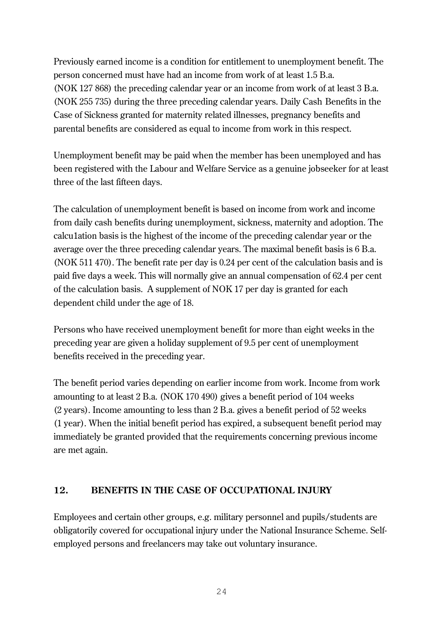Previously earned income is a condition for entitlement to unemployment benefit. The person concerned must have had an income from work of at least 1.5 B.a. (NOK 127 868) the preceding calendar year or an income from work of at least 3 B.a. (NOK 255 735) during the three preceding calendar years. Daily Cash Benefits in the Case of Sickness granted for maternity related illnesses, pregnancy benefits and parental benefits are considered as equal to income from work in this respect.

Unemployment benefit may be paid when the member has been unemployed and has been registered with the Labour and Welfare Service as a genuine jobseeker for at least three of the last fifteen days.

The calculation of unemployment benefit is based on income from work and income from daily cash benefits during unemployment, sickness, maternity and adoption. The calcu1ation basis is the highest of the income of the preceding calendar year or the average over the three preceding calendar years. The maximal benefit basis is 6 B.a. (NOK 511 470). The benefit rate per day is 0.24 per cent of the calculation basis and is paid five days a week. This will normally give an annual compensation of 62.4 per cent of the calculation basis. A supplement of NOK 17 per day is granted for each dependent child under the age of 18.

Persons who have received unemployment benefit for more than eight weeks in the preceding year are given a holiday supplement of 9.5 per cent of unemployment benefits received in the preceding year.

The benefit period varies depending on earlier income from work. Income from work amounting to at least 2 B.a. (NOK 170 490) gives a benefit period of 104 weeks (2 years). Income amounting to less than 2 B.a. gives a benefit period of 52 weeks (1 year). When the initial benefit period has expired, a subsequent benefit period may immediately be granted provided that the requirements concerning previous income are met again.

# **12. BENEFITS IN THE CASE OF OCCUPATIONAL INJURY**

Employees and certain other groups, e.g. military personnel and pupils/students are obligatorily covered for occupational injury under the National Insurance Scheme. Selfemployed persons and freelancers may take out voluntary insurance.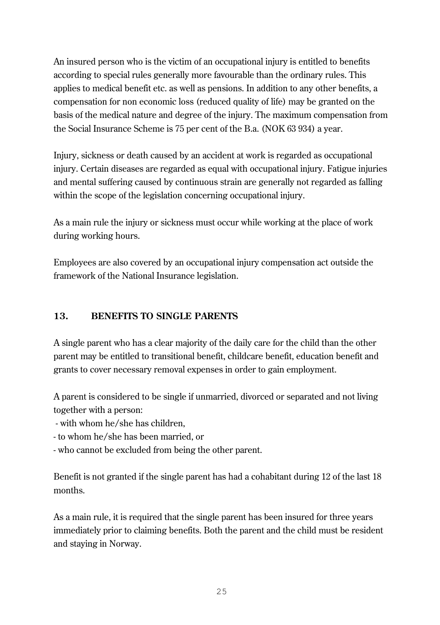An insured person who is the victim of an occupational injury is entitled to benefits according to special rules generally more favourable than the ordinary rules. This applies to medical benefit etc. as well as pensions. In addition to any other benefits, a compensation for non economic loss (reduced quality of life) may be granted on the basis of the medical nature and degree of the injury. The maximum compensation from the Social Insurance Scheme is 75 per cent of the B.a. (NOK 63 934) a year.

Injury, sickness or death caused by an accident at work is regarded as occupational injury. Certain diseases are regarded as equal with occupational injury. Fatigue injuries and mental suffering caused by continuous strain are generally not regarded as falling within the scope of the legislation concerning occupational injury.

As a main rule the injury or sickness must occur while working at the place of work during working hours.

Employees are also covered by an occupational injury compensation act outside the framework of the National Insurance legislation.

# **13. BENEFITS TO SINGLE PARENTS**

A single parent who has a clear majority of the daily care for the child than the other parent may be entitled to transitional benefit, childcare benefit, education benefit and grants to cover necessary removal expenses in order to gain employment.

A parent is considered to be single if unmarried, divorced or separated and not living together with a person:

- with whom he/she has children,

- to whom he/she has been married, or
- who cannot be excluded from being the other parent.

Benefit is not granted if the single parent has had a cohabitant during 12 of the last 18 months.

As a main rule, it is required that the single parent has been insured for three years immediately prior to claiming benefits. Both the parent and the child must be resident and staying in Norway.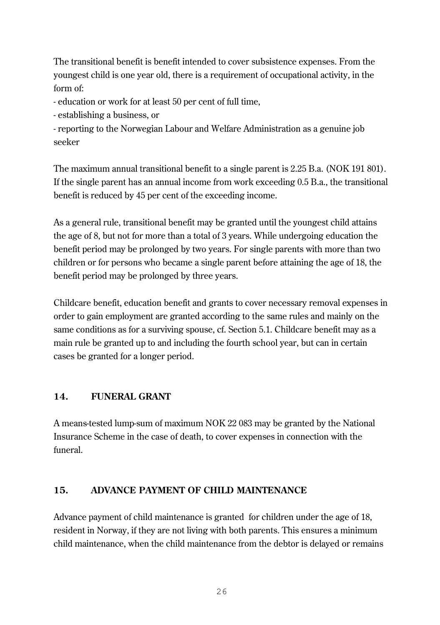The transitional benefit is benefit intended to cover subsistence expenses. From the youngest child is one year old, there is a requirement of occupational activity, in the form of:

- education or work for at least 50 per cent of full time,

- establishing a business, or

- reporting to the Norwegian Labour and Welfare Administration as a genuine job seeker

The maximum annual transitional benefit to a single parent is 2.25 B.a. (NOK 191 801). If the single parent has an annual income from work exceeding 0.5 B.a., the transitional benefit is reduced by 45 per cent of the exceeding income.

As a general rule, transitional benefit may be granted until the youngest child attains the age of 8, but not for more than a total of 3 years. While undergoing education the benefit period may be prolonged by two years. For single parents with more than two children or for persons who became a single parent before attaining the age of 18, the benefit period may be prolonged by three years.

Childcare benefit, education benefit and grants to cover necessary removal expenses in order to gain employment are granted according to the same rules and mainly on the same conditions as for a surviving spouse, cf. Section 5.1. Childcare benefit may as a main rule be granted up to and including the fourth school year, but can in certain cases be granted for a longer period.

# **14. FUNERAL GRANT**

A means-tested lump-sum of maximum NOK 22 083 may be granted by the National Insurance Scheme in the case of death, to cover expenses in connection with the funeral.

# **15. ADVANCE PAYMENT OF CHILD MAINTENANCE**

Advance payment of child maintenance is granted for children under the age of 18, resident in Norway, if they are not living with both parents. This ensures a minimum child maintenance, when the child maintenance from the debtor is delayed or remains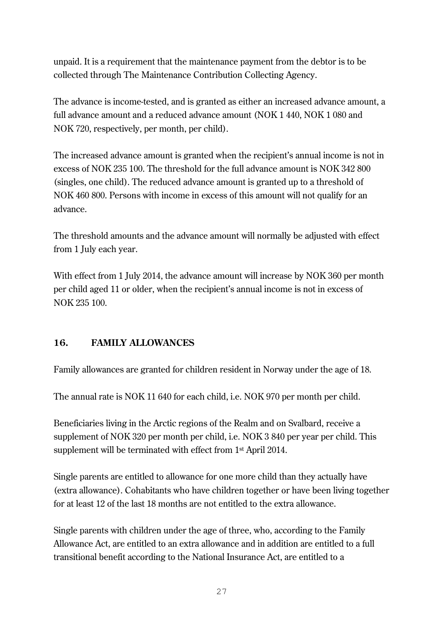unpaid. It is a requirement that the maintenance payment from the debtor is to be collected through The Maintenance Contribution Collecting Agency.

The advance is income-tested, and is granted as either an increased advance amount, a full advance amount and a reduced advance amount (NOK 1 440, NOK 1 080 and NOK 720, respectively, per month, per child).

The increased advance amount is granted when the recipient's annual income is not in excess of NOK 235 100. The threshold for the full advance amount is NOK 342 800 (singles, one child). The reduced advance amount is granted up to a threshold of NOK 460 800. Persons with income in excess of this amount will not qualify for an advance.

The threshold amounts and the advance amount will normally be adjusted with effect from 1 July each year.

With effect from 1 July 2014, the advance amount will increase by NOK 360 per month per child aged 11 or older, when the recipient's annual income is not in excess of NOK 235 100.

# **16. FAMILY ALLOWANCES**

Family allowances are granted for children resident in Norway under the age of 18.

The annual rate is NOK 11 640 for each child, i.e. NOK 970 per month per child.

Beneficiaries living in the Arctic regions of the Realm and on Svalbard, receive a supplement of NOK 320 per month per child, i.e. NOK 3 840 per year per child. This supplement will be terminated with effect from 1st April 2014.

Single parents are entitled to allowance for one more child than they actually have (extra allowance). Cohabitants who have children together or have been living together for at least 12 of the last 18 months are not entitled to the extra allowance.

Single parents with children under the age of three, who, according to the Family Allowance Act, are entitled to an extra allowance and in addition are entitled to a full transitional benefit according to the National Insurance Act, are entitled to a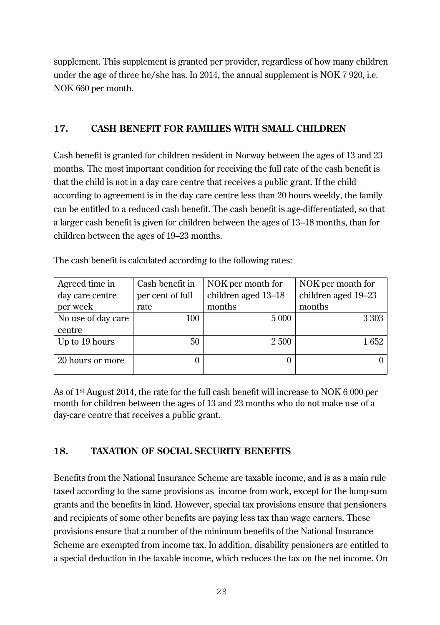supplement. This supplement is granted per provider, regardless of how many children under the age of three he/she has. In 2014, the annual supplement is NOK 7 920, i.e. NOK 660 per month.

# **17. CASH BENEFIT FOR FAMILIES WITH SMALL CHILDREN**

Cash benefit is granted for children resident in Norway between the ages of 13 and 23 months. The most important condition for receiving the full rate of the cash benefit is that the child is not in a day care centre that receives a public grant. If the child according to agreement is in the day care centre less than 20 hours weekly, the family can be entitled to a reduced cash benefit. The cash benefit is age-differentiated, so that a larger cash benefit is given for children between the ages of 13–18 months, than for children between the ages of 19–23 months.

| Agreed time in     | Cash benefit in  | NOK per month for   | NOK per month for   |
|--------------------|------------------|---------------------|---------------------|
| day care centre    | per cent of full | children aged 13-18 | children aged 19-23 |
| per week           | rate             | months              | months              |
| No use of day care | 100              | 5 0 0 0             | 3 3 0 3             |
| centre             |                  |                     |                     |
| Up to 19 hours     | 50               | 2 500               | 1652                |
|                    |                  |                     |                     |
| 20 hours or more   |                  |                     |                     |
|                    |                  |                     |                     |

The cash benefit is calculated according to the following rates:

As of 1st August 2014, the rate for the full cash benefit will increase to NOK 6 000 per month for children between the ages of 13 and 23 months who do not make use of a day-care centre that receives a public grant.

# **18. TAXATION OF SOCIAL SECURITY BENEFITS**

Benefits from the National Insurance Scheme are taxable income, and is as a main rule taxed according to the same provisions as income from work, except for the lump-sum grants and the benefits in kind. However, special tax provisions ensure that pensioners and recipients of some other benefits are paying less tax than wage earners. These provisions ensure that a number of the minimum benefits of the National Insurance Scheme are exempted from income tax. In addition, disability pensioners are entitled to a special deduction in the taxable income, which reduces the tax on the net income. On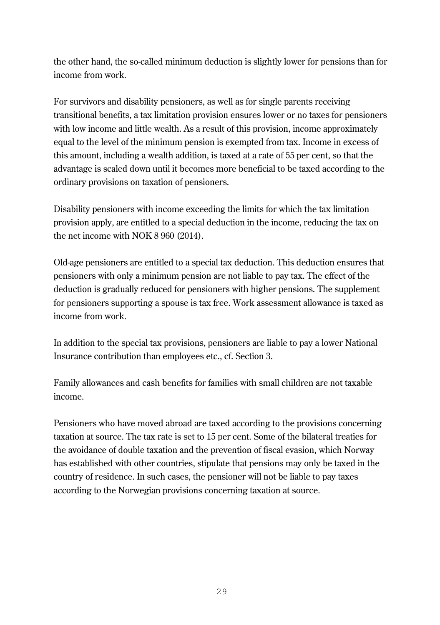the other hand, the so-called minimum deduction is slightly lower for pensions than for income from work.

For survivors and disability pensioners, as well as for single parents receiving transitional benefits, a tax limitation provision ensures lower or no taxes for pensioners with low income and little wealth. As a result of this provision, income approximately equal to the level of the minimum pension is exempted from tax. Income in excess of this amount, including a wealth addition, is taxed at a rate of 55 per cent, so that the advantage is scaled down until it becomes more beneficial to be taxed according to the ordinary provisions on taxation of pensioners.

Disability pensioners with income exceeding the limits for which the tax limitation provision apply, are entitled to a special deduction in the income, reducing the tax on the net income with NOK 8 960 (2014).

Old-age pensioners are entitled to a special tax deduction. This deduction ensures that pensioners with only a minimum pension are not liable to pay tax. The effect of the deduction is gradually reduced for pensioners with higher pensions. The supplement for pensioners supporting a spouse is tax free. Work assessment allowance is taxed as income from work.

In addition to the special tax provisions, pensioners are liable to pay a lower National Insurance contribution than employees etc., cf. Section 3.

Family allowances and cash benefits for families with small children are not taxable income.

Pensioners who have moved abroad are taxed according to the provisions concerning taxation at source. The tax rate is set to 15 per cent. Some of the bilateral treaties for the avoidance of double taxation and the prevention of fiscal evasion, which Norway has established with other countries, stipulate that pensions may only be taxed in the country of residence. In such cases, the pensioner will not be liable to pay taxes according to the Norwegian provisions concerning taxation at source.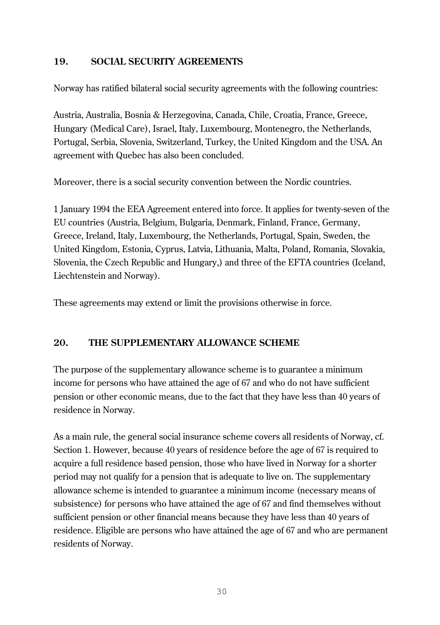# **19. SOCIAL SECURITY AGREEMENTS**

Norway has ratified bilateral social security agreements with the following countries:

Austria, Australia, Bosnia & Herzegovina, Canada, Chile, Croatia, France, Greece, Hungary (Medical Care), Israel, Italy, Luxembourg, Montenegro, the Netherlands, Portugal, Serbia, Slovenia, Switzerland, Turkey, the United Kingdom and the USA. An agreement with Quebec has also been concluded.

Moreover, there is a social security convention between the Nordic countries.

1 January 1994 the EEA Agreement entered into force. It applies for twenty-seven of the EU countries (Austria, Belgium, Bulgaria, Denmark, Finland, France, Germany, Greece, Ireland, Italy, Luxembourg, the Netherlands, Portugal, Spain, Sweden, the United Kingdom, Estonia, Cyprus, Latvia, Lithuania, Malta, Poland, Romania, Slovakia, Slovenia, the Czech Republic and Hungary,) and three of the EFTA countries (Iceland, Liechtenstein and Norway).

These agreements may extend or limit the provisions otherwise in force.

# **20. THE SUPPLEMENTARY ALLOWANCE SCHEME**

The purpose of the supplementary allowance scheme is to guarantee a minimum income for persons who have attained the age of 67 and who do not have sufficient pension or other economic means, due to the fact that they have less than 40 years of residence in Norway.

As a main rule, the general social insurance scheme covers all residents of Norway, cf. Section 1. However, because 40 years of residence before the age of 67 is required to acquire a full residence based pension, those who have lived in Norway for a shorter period may not qualify for a pension that is adequate to live on. The supplementary allowance scheme is intended to guarantee a minimum income (necessary means of subsistence) for persons who have attained the age of 67 and find themselves without sufficient pension or other financial means because they have less than 40 years of residence. Eligible are persons who have attained the age of 67 and who are permanent residents of Norway.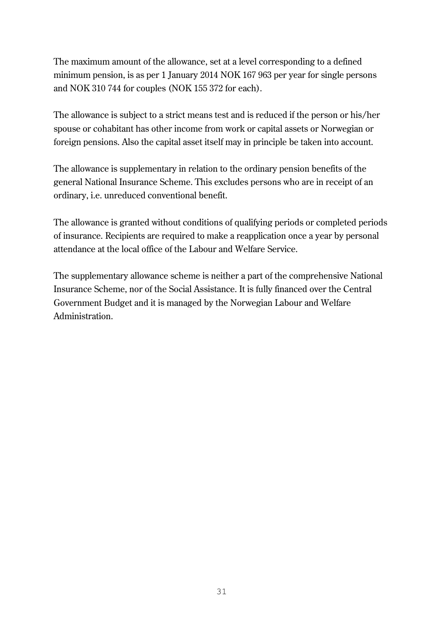The maximum amount of the allowance, set at a level corresponding to a defined minimum pension, is as per 1 January 2014 NOK 167 963 per year for single persons and NOK 310 744 for couples (NOK 155 372 for each).

The allowance is subject to a strict means test and is reduced if the person or his/her spouse or cohabitant has other income from work or capital assets or Norwegian or foreign pensions. Also the capital asset itself may in principle be taken into account.

The allowance is supplementary in relation to the ordinary pension benefits of the general National Insurance Scheme. This excludes persons who are in receipt of an ordinary, i.e. unreduced conventional benefit.

The allowance is granted without conditions of qualifying periods or completed periods of insurance. Recipients are required to make a reapplication once a year by personal attendance at the local office of the Labour and Welfare Service.

The supplementary allowance scheme is neither a part of the comprehensive National Insurance Scheme, nor of the Social Assistance. It is fully financed over the Central Government Budget and it is managed by the Norwegian Labour and Welfare Administration.